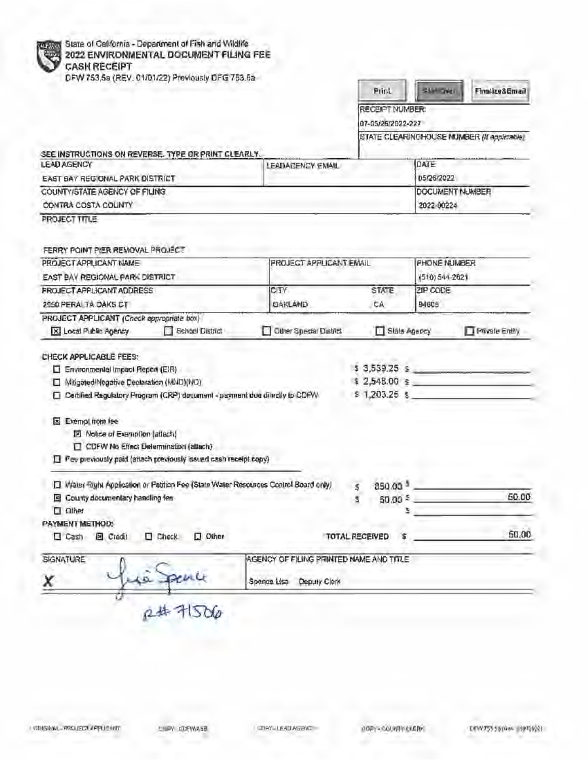|                                                                  |                                                                                      |                                         | Print                          | SAMIONE         | Firstbe&Email                              |  |
|------------------------------------------------------------------|--------------------------------------------------------------------------------------|-----------------------------------------|--------------------------------|-----------------|--------------------------------------------|--|
|                                                                  |                                                                                      |                                         | RECEIPT NUMBER:                |                 |                                            |  |
|                                                                  |                                                                                      |                                         | 07-05/26/2022-227              |                 |                                            |  |
|                                                                  |                                                                                      |                                         |                                |                 | STATE CLEARINGHOUSE MUMBER (If applicable) |  |
| SEE INSTRUCTIONS ON REVERSE. TYPE OR PRINT CLEARLY.              |                                                                                      |                                         |                                | DATE            |                                            |  |
| <b>LEAD AGENCY</b>                                               |                                                                                      | LEADAGENCY EMAIL                        | 05/26/2022                     |                 |                                            |  |
| EAST BAY REGIONAL PARK DISTRICT<br>COUNTY/STATE AGENCY OF FILING |                                                                                      |                                         | DOCUMENT NUMBER                |                 |                                            |  |
| CONTRA COSTA COUNTY                                              |                                                                                      |                                         | 2022-00224                     |                 |                                            |  |
| PROJECT TITLE                                                    |                                                                                      |                                         |                                |                 |                                            |  |
| FERRY POINT PIER REMOVAL PROJECT                                 |                                                                                      |                                         |                                |                 |                                            |  |
| PROJECT APPLICANT NAME                                           |                                                                                      |                                         | <b>FROJECT APPLICANT EMAIL</b> |                 | PHONE NUMBER                               |  |
| EAST BAY REGIONAL PARK DISTRICT                                  |                                                                                      |                                         |                                | $(510)544-2621$ |                                            |  |
| <b>FROJECT APPLICANT ADDRESS</b>                                 |                                                                                      | CITY                                    | <b>STATE</b>                   | ZIP CODE        |                                            |  |
| 2950 PERALTA OAKS CT                                             |                                                                                      | DAKLAND                                 | CA                             | 94605           |                                            |  |
| PROJECT APPLICANT (Check appropriate box)                        |                                                                                      |                                         |                                |                 |                                            |  |
| X Local Public Agency                                            | School District                                                                      | Other Special District                  | Slate Agency                   |                 | Private Entity                             |  |
| CHECK APPLICABLE FEES:                                           |                                                                                      |                                         |                                |                 |                                            |  |
| Environmental Impact Report (EIR)                                |                                                                                      | $53,539.25$ $5$                         |                                |                 |                                            |  |
| [ Mitigated/Negative Declaration (MND)(NO)                       |                                                                                      |                                         | $$2,548.00$ $$$                |                 |                                            |  |
|                                                                  | □ Certified Regulatory Program (CRP) document + payment doc directly to CDFW         |                                         | $$1,203.25$ \$                 |                 |                                            |  |
|                                                                  |                                                                                      |                                         |                                |                 |                                            |  |
|                                                                  |                                                                                      |                                         |                                |                 |                                            |  |
| El Exempliron fee                                                |                                                                                      |                                         |                                |                 |                                            |  |
| 図 Notice of Exemption (attach)                                   |                                                                                      |                                         |                                |                 |                                            |  |
|                                                                  | CDFW No Effect Determination (attach)                                                |                                         |                                |                 |                                            |  |
|                                                                  | Pee previously paid (attach previously issued cash receipt copy)                     |                                         |                                |                 |                                            |  |
|                                                                  | [ Water Right Application or Petition Fee (State Water Resources Control Board only) |                                         | $850.00^{3}$ $-$<br>5          |                 |                                            |  |
| El County documentary handling fee                               |                                                                                      |                                         | s                              | 50.00 5         |                                            |  |
| <b>D</b> Other                                                   |                                                                                      |                                         |                                | 2.              |                                            |  |
|                                                                  |                                                                                      |                                         |                                |                 |                                            |  |
| □ Cash 图 Credit                                                  | $\Box$ Check<br>$\square$ Other                                                      |                                         | TOTAL RECEIVED                 |                 | 50.00<br>50,00                             |  |
| PAYMENT METHOD:<br><b>SIGNATURE</b>                              |                                                                                      | AGENCY OF FILING PRINTED NAME AND TITLE |                                |                 |                                            |  |

**SERVICE VALUE** 

л

POPY-COUNTY CLERK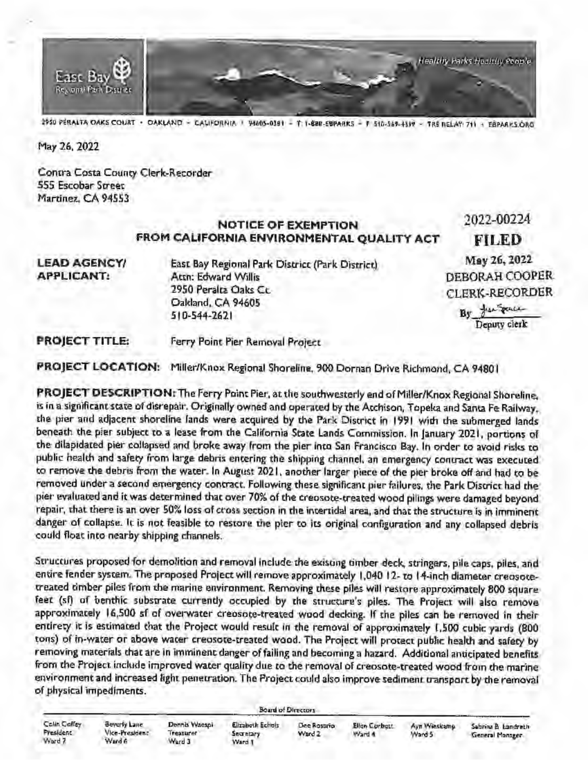

l?SO PERALTA OA~S COURT • OAKI.ANO • CALIFORNIA • 9'60S,Ol81 • T: 1•888-E~PARKS • **F:** S10,S69•4l" • fRS RELAY: 711 • E8PAA~S.ORG

May 26, 2022

Contra Costa County Clerk-Recorder **SSS Escobar Street** Martinez. **CA 94553** 

#### **NOTICE OF EXEMPTION FROM CALIFORNIA ENVIRONMENTAL QUALITY ACT**  2022-00224

**LEAD AGENCY/ APPLICANT:** 

East Bay Regional Parl< District (Park District) Attn: Edward Willis 2950 Peralta Oaks Cc. Oakland, CA 94605 SI 0-544-2621

**FILED**  May26,2022 DEBORAH COOPER CLERK-RECORDER

> **By** j..:..~u.- Deputy clerk

**PROJECT** TITLE: Ferry Point Pier Removal Project

**PROJECT LOCATION:** Miller/Knox Regional Shoreline, 900 Dornan Drive Richmond, CA 94801

**PROJECT DESCRIPTION:** The Ferry Point Pier, at the southwesterly end of Miller/Knox Regional Shoreline. is in a significant state of disrepair. Originally owned and operated by the Atchison, Topeka and Santa Fe Railway, the pier and adjacent shoreline lands were acquired by the Park District in 1991 wilh the submerged lands beneath the pier subject to a lease from the California State Lands Commission. In January 2021, portions of the dilapidated pier collapsed and broke away from the pier into San Francisco Bay. In order to avoid risks to public health and safety from large debris entering the shipping channel, an emergency contract was executed to remove the debris from the water. In August 2021. another larger piece of the pier broke off and had to be removed under a second emergency contract. Following these significant pier failures, the Park District had the pier evaluated and it was determined that over 70% of the creosote-created wood pilings were damaged beyond repair, that there is an over SO% loss of cross section in the intenidal area, and that the structure is in imminent danger of collapse. le is not feasible to restore the pier to its original configuration and any collapsed debris could float into nearby shipping channels.

Structures proposed for demolition and removal include the existing timber deck. stringers, pile caps, piles, and entire fender system. The proposed Project will remove approximately 1,040 12- to 14-inch diameter creosote• treated timber piles from the marine environment. Removing these piles **will** restore approximately **800** square feet (sf) of benthic substrate currently occupied by the structure's piles. The Project will also remove approximately 16,500 sf of overwater creosote-treated wood decking. If the piles can be removed in their entirety it is estimated that the Project would result in the removal of approximately 1,500 cubic yards (800 tons) of in-water or above wacer creosote-created wood. The Project will protect public health and safety by removing materials that are in imminent danger of failing and becoming a hazard. Additional anticipated benefits from the Project include improved water quality due to the removal of creosote-treated wood from the marine environment **and** increased light penetration. The Project could also improve sediment transport **by** the removal of physical impediments.

Calin Calley President Ward 7

Beverly Lane Vice-President Wurd 6

Dennis Waespi **Treaturer** Ward 3 **Secretary** Ward 1

Elizabeth Echols

Board of Directors

Ward 2. Ward # Ward 5 . General Manager

Dee Rosario Ellon Corbett: Ayn Wieskang Sabrina B. Landreth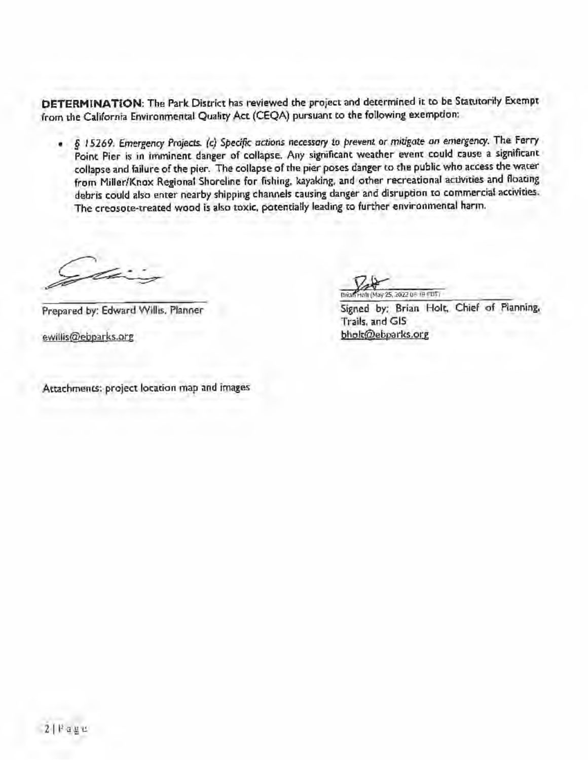**DETERMINATION:** The Park District has reviewed the project and determined it to be Statutorily Exempt from the California Environmental Quality Act (CEQA) pursuant to the following exemption: ·

• § *15269. Emergency Projects. (c) Specifk actions* necessary *to prevent or mitigate an emergency.* The Ferry Point Pier is in imminent danger of collapse. Any significant weather event could cause a significant collapse and failure of the pier. The collapse of the pier poses danger to the public who access the water from Miller/Knox Regional Shoreline for fishing, kayaking. and other recreational activities and floating debris could also enter nearby shipping channels causing danger and disruption to commercial accivities. The creosote-treated wood is also toxic, potentially leading to further environmental harm,

Prepared by: Edward Willis, Planner

ewillis@ebparks.org

Attachments: project location map and images

n1 (May 25, 2022 08'19 PDT)

Signed by: Brian Holt. Chief of Planning, Trails. and GIS bholt@ebparlcs.org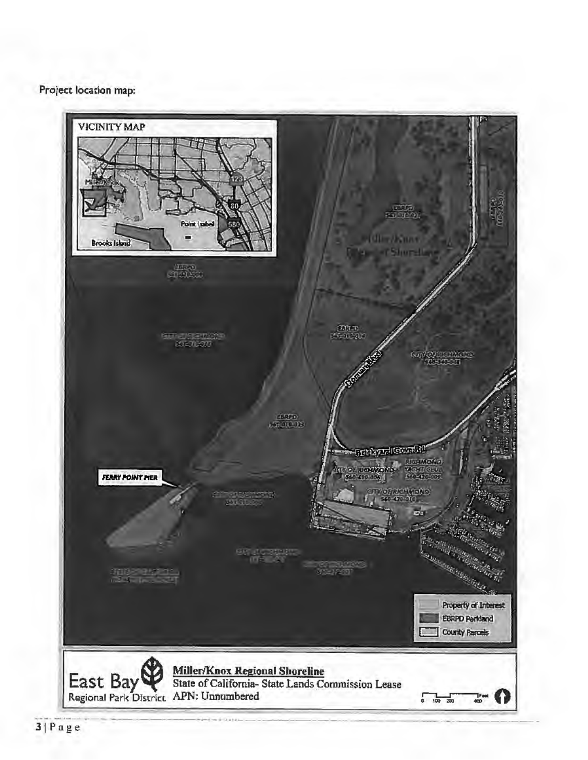### Project location map:

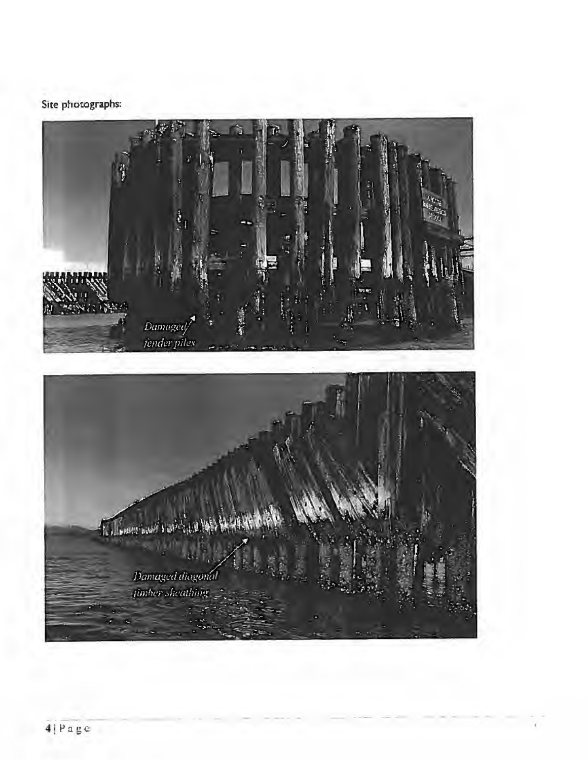## Site photographs: